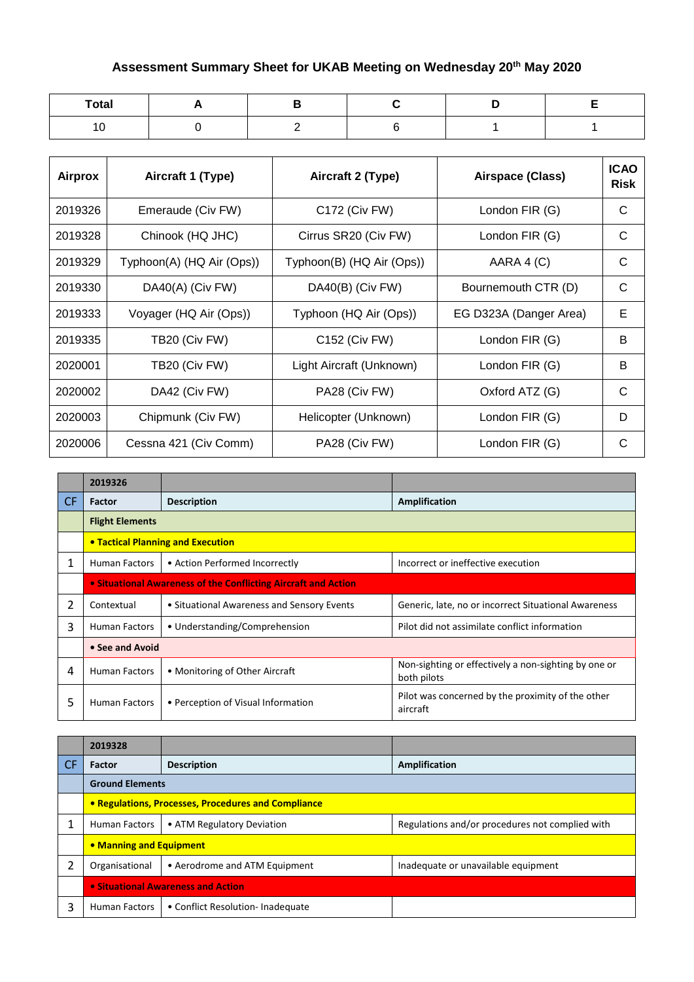## **Assessment Summary Sheet for UKAB Meeting on Wednesday 20th May 2020**

| <b>Total</b> |  |  |  |
|--------------|--|--|--|
| ^<br>10      |  |  |  |

| <b>Airprox</b> | Aircraft 1 (Type)         | Aircraft 2 (Type)         | Airspace (Class)       | <b>ICAO</b><br><b>Risk</b> |
|----------------|---------------------------|---------------------------|------------------------|----------------------------|
| 2019326        | Emeraude (Civ FW)         | C172 (Civ FW)             | London FIR (G)         | C                          |
| 2019328        | Chinook (HQ JHC)          | Cirrus SR20 (Civ FW)      | London FIR (G)         | C                          |
| 2019329        | Typhoon(A) (HQ Air (Ops)) | Typhoon(B) (HQ Air (Ops)) | AARA 4 (C)             | C                          |
| 2019330        | DA40(A) (Civ FW)          | DA40(B) (Civ FW)          | Bournemouth CTR (D)    | C                          |
| 2019333        | Voyager (HQ Air (Ops))    | Typhoon (HQ Air (Ops))    | EG D323A (Danger Area) | Е                          |
| 2019335        | TB20 (Civ FW)             | C152 (Civ FW)             | London FIR (G)         | B                          |
| 2020001        | TB20 (Civ FW)             | Light Aircraft (Unknown)  | London FIR (G)         | B                          |
| 2020002        | DA42 (Civ FW)             | PA28 (Civ FW)             | Oxford ATZ (G)         | C                          |
| 2020003        | Chipmunk (Civ FW)         | Helicopter (Unknown)      | London FIR (G)         | D                          |
| 2020006        | Cessna 421 (Civ Comm)     | PA28 (Civ FW)             | London FIR (G)         | С                          |

|                | 2019326                                                        |                                            |                                                                     |  |
|----------------|----------------------------------------------------------------|--------------------------------------------|---------------------------------------------------------------------|--|
| CF.            | <b>Factor</b>                                                  | <b>Description</b>                         | Amplification                                                       |  |
|                | <b>Flight Elements</b>                                         |                                            |                                                                     |  |
|                | • Tactical Planning and Execution                              |                                            |                                                                     |  |
| 1              | <b>Human Factors</b>                                           | • Action Performed Incorrectly             | Incorrect or ineffective execution                                  |  |
|                | • Situational Awareness of the Conflicting Aircraft and Action |                                            |                                                                     |  |
| $\overline{2}$ | Contextual                                                     | • Situational Awareness and Sensory Events | Generic, late, no or incorrect Situational Awareness                |  |
| 3              | <b>Human Factors</b>                                           | • Understanding/Comprehension              | Pilot did not assimilate conflict information                       |  |
|                | • See and Avoid                                                |                                            |                                                                     |  |
| 4              | <b>Human Factors</b>                                           | • Monitoring of Other Aircraft             | Non-sighting or effectively a non-sighting by one or<br>both pilots |  |
| 5              | Human Factors                                                  | • Perception of Visual Information         | Pilot was concerned by the proximity of the other<br>aircraft       |  |

|           | 2019328                            |                                                     |                                                 |
|-----------|------------------------------------|-----------------------------------------------------|-------------------------------------------------|
| <b>CF</b> | Factor                             | <b>Description</b>                                  | Amplification                                   |
|           | <b>Ground Elements</b>             |                                                     |                                                 |
|           |                                    | • Regulations, Processes, Procedures and Compliance |                                                 |
|           | <b>Human Factors</b>               | • ATM Regulatory Deviation                          | Regulations and/or procedures not complied with |
|           | • Manning and Equipment            |                                                     |                                                 |
|           | Organisational                     | • Aerodrome and ATM Equipment                       | Inadequate or unavailable equipment             |
|           | • Situational Awareness and Action |                                                     |                                                 |
| ς         | Human Factors                      | • Conflict Resolution-Inadequate                    |                                                 |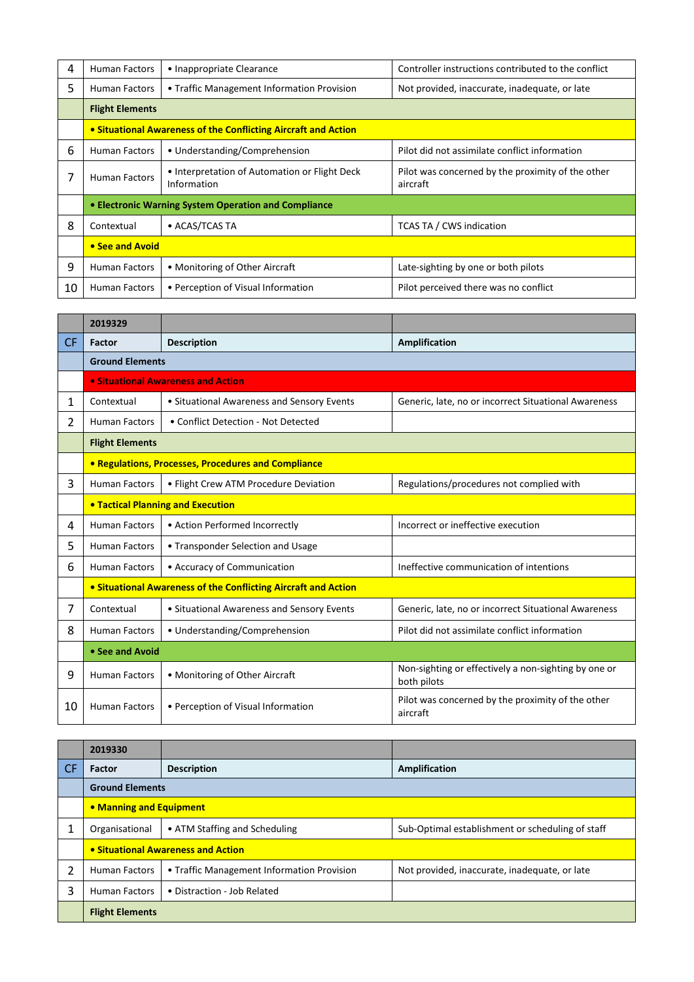| 4  | <b>Human Factors</b>                                           | • Inappropriate Clearance                                    | Controller instructions contributed to the conflict           |  |  |
|----|----------------------------------------------------------------|--------------------------------------------------------------|---------------------------------------------------------------|--|--|
| 5  | <b>Human Factors</b>                                           | • Traffic Management Information Provision                   | Not provided, inaccurate, inadequate, or late                 |  |  |
|    | <b>Flight Elements</b>                                         |                                                              |                                                               |  |  |
|    | • Situational Awareness of the Conflicting Aircraft and Action |                                                              |                                                               |  |  |
| 6  | <b>Human Factors</b>                                           | • Understanding/Comprehension                                | Pilot did not assimilate conflict information                 |  |  |
|    | <b>Human Factors</b>                                           | • Interpretation of Automation or Flight Deck<br>Information | Pilot was concerned by the proximity of the other<br>aircraft |  |  |
|    | • Electronic Warning System Operation and Compliance           |                                                              |                                                               |  |  |
| 8  | Contextual                                                     | • ACAS/TCAS TA                                               | <b>TCAS TA / CWS indication</b>                               |  |  |
|    | • See and Avoid                                                |                                                              |                                                               |  |  |
| 9  | <b>Human Factors</b>                                           | • Monitoring of Other Aircraft                               | Late-sighting by one or both pilots                           |  |  |
| 10 | <b>Human Factors</b>                                           | • Perception of Visual Information                           | Pilot perceived there was no conflict                         |  |  |

|     | 2019329                                  |                                                                |                                                                     |  |
|-----|------------------------------------------|----------------------------------------------------------------|---------------------------------------------------------------------|--|
| CF. | Factor                                   | <b>Description</b>                                             | Amplification                                                       |  |
|     | <b>Ground Elements</b>                   |                                                                |                                                                     |  |
|     |                                          | • Situational Awareness and Action                             |                                                                     |  |
| 1   | Contextual                               | • Situational Awareness and Sensory Events                     | Generic, late, no or incorrect Situational Awareness                |  |
| 2   | <b>Human Factors</b>                     | • Conflict Detection - Not Detected                            |                                                                     |  |
|     | <b>Flight Elements</b>                   |                                                                |                                                                     |  |
|     |                                          | <b>• Regulations, Processes, Procedures and Compliance</b>     |                                                                     |  |
| 3   | <b>Human Factors</b>                     | • Flight Crew ATM Procedure Deviation                          | Regulations/procedures not complied with                            |  |
|     | <b>• Tactical Planning and Execution</b> |                                                                |                                                                     |  |
| 4   | <b>Human Factors</b>                     | • Action Performed Incorrectly                                 | Incorrect or ineffective execution                                  |  |
| 5   | <b>Human Factors</b>                     | • Transponder Selection and Usage                              |                                                                     |  |
| 6   | <b>Human Factors</b>                     | • Accuracy of Communication                                    | Ineffective communication of intentions                             |  |
|     |                                          | • Situational Awareness of the Conflicting Aircraft and Action |                                                                     |  |
| 7   | Contextual                               | • Situational Awareness and Sensory Events                     | Generic, late, no or incorrect Situational Awareness                |  |
| 8   | <b>Human Factors</b>                     | • Understanding/Comprehension                                  | Pilot did not assimilate conflict information                       |  |
|     | • See and Avoid                          |                                                                |                                                                     |  |
| 9   | <b>Human Factors</b>                     | • Monitoring of Other Aircraft                                 | Non-sighting or effectively a non-sighting by one or<br>both pilots |  |
| 10  | <b>Human Factors</b>                     | • Perception of Visual Information                             | Pilot was concerned by the proximity of the other<br>aircraft       |  |

|     | 2019330                 |                                            |                                                  |
|-----|-------------------------|--------------------------------------------|--------------------------------------------------|
| -CF | <b>Factor</b>           | <b>Description</b>                         | Amplification                                    |
|     | <b>Ground Elements</b>  |                                            |                                                  |
|     | • Manning and Equipment |                                            |                                                  |
|     | Organisational          | • ATM Staffing and Scheduling              | Sub-Optimal establishment or scheduling of staff |
|     |                         | • Situational Awareness and Action         |                                                  |
| า   | <b>Human Factors</b>    | • Traffic Management Information Provision | Not provided, inaccurate, inadequate, or late    |
| 3   | <b>Human Factors</b>    | • Distraction - Job Related                |                                                  |
|     | <b>Flight Elements</b>  |                                            |                                                  |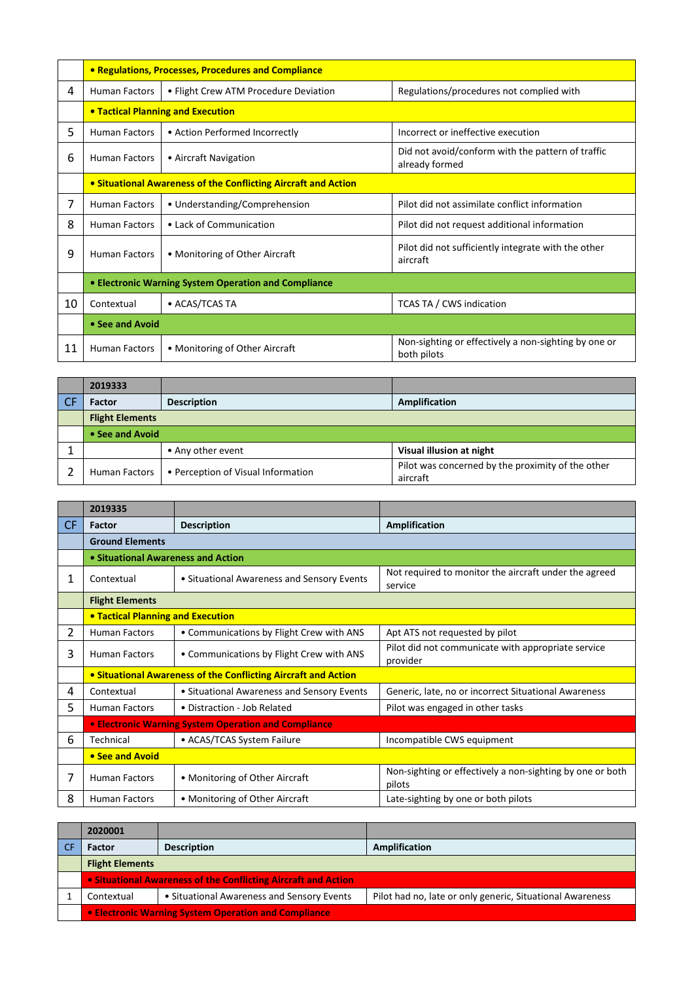|    | • Regulations, Processes, Procedures and Compliance                   |                                       |                                                                     |  |
|----|-----------------------------------------------------------------------|---------------------------------------|---------------------------------------------------------------------|--|
| 4  | <b>Human Factors</b>                                                  | • Flight Crew ATM Procedure Deviation | Regulations/procedures not complied with                            |  |
|    |                                                                       | • Tactical Planning and Execution     |                                                                     |  |
| 5  | <b>Human Factors</b>                                                  | • Action Performed Incorrectly        | Incorrect or ineffective execution                                  |  |
| 6  | <b>Human Factors</b>                                                  | • Aircraft Navigation                 | Did not avoid/conform with the pattern of traffic<br>already formed |  |
|    | <b>• Situational Awareness of the Conflicting Aircraft and Action</b> |                                       |                                                                     |  |
| 7  | <b>Human Factors</b>                                                  | • Understanding/Comprehension         | Pilot did not assimilate conflict information                       |  |
| 8  | <b>Human Factors</b>                                                  | • Lack of Communication               | Pilot did not request additional information                        |  |
| 9  | <b>Human Factors</b>                                                  | • Monitoring of Other Aircraft        | Pilot did not sufficiently integrate with the other<br>aircraft     |  |
|    | • Electronic Warning System Operation and Compliance                  |                                       |                                                                     |  |
| 10 | Contextual                                                            | • ACAS/TCAS TA                        | <b>TCAS TA / CWS indication</b>                                     |  |
|    | • See and Avoid                                                       |                                       |                                                                     |  |
| 11 | <b>Human Factors</b>                                                  | • Monitoring of Other Aircraft        | Non-sighting or effectively a non-sighting by one or<br>both pilots |  |

| 2019333                |                                    |                                                               |  |  |
|------------------------|------------------------------------|---------------------------------------------------------------|--|--|
| <b>Factor</b>          | <b>Description</b>                 | Amplification                                                 |  |  |
| <b>Flight Elements</b> |                                    |                                                               |  |  |
| • See and Avoid        |                                    |                                                               |  |  |
|                        | • Any other event                  | Visual illusion at night                                      |  |  |
| Human Factors          | • Perception of Visual Information | Pilot was concerned by the proximity of the other<br>aircraft |  |  |

|           | 2019335                                  |                                                                |                                                                     |
|-----------|------------------------------------------|----------------------------------------------------------------|---------------------------------------------------------------------|
| <b>CF</b> | Factor                                   | <b>Description</b>                                             | Amplification                                                       |
|           | <b>Ground Elements</b>                   |                                                                |                                                                     |
|           | • Situational Awareness and Action       |                                                                |                                                                     |
| 1         | Contextual                               | • Situational Awareness and Sensory Events                     | Not required to monitor the aircraft under the agreed<br>service    |
|           | <b>Flight Elements</b>                   |                                                                |                                                                     |
|           | <b>• Tactical Planning and Execution</b> |                                                                |                                                                     |
| 2         | <b>Human Factors</b>                     | • Communications by Flight Crew with ANS                       | Apt ATS not requested by pilot                                      |
| 3         | <b>Human Factors</b>                     | • Communications by Flight Crew with ANS                       | Pilot did not communicate with appropriate service<br>provider      |
|           |                                          | • Situational Awareness of the Conflicting Aircraft and Action |                                                                     |
| 4         | Contextual                               | • Situational Awareness and Sensory Events                     | Generic, late, no or incorrect Situational Awareness                |
| 5         | Human Factors                            | • Distraction - Job Related                                    | Pilot was engaged in other tasks                                    |
|           |                                          | <b>• Electronic Warning System Operation and Compliance</b>    |                                                                     |
| 6         | Technical                                | • ACAS/TCAS System Failure                                     | Incompatible CWS equipment                                          |
|           | • See and Avoid                          |                                                                |                                                                     |
| 7         | <b>Human Factors</b>                     | • Monitoring of Other Aircraft                                 | Non-sighting or effectively a non-sighting by one or both<br>pilots |
| 8         | <b>Human Factors</b>                     | • Monitoring of Other Aircraft                                 | Late-sighting by one or both pilots                                 |

| 2020001                                                        |                                            |                                                           |  |
|----------------------------------------------------------------|--------------------------------------------|-----------------------------------------------------------|--|
| <b>Factor</b>                                                  | <b>Description</b>                         | Amplification                                             |  |
| <b>Flight Elements</b>                                         |                                            |                                                           |  |
| • Situational Awareness of the Conflicting Aircraft and Action |                                            |                                                           |  |
| Contextual                                                     | • Situational Awareness and Sensory Events | Pilot had no, late or only generic, Situational Awareness |  |
| <b>• Electronic Warning System Operation and Compliance</b>    |                                            |                                                           |  |